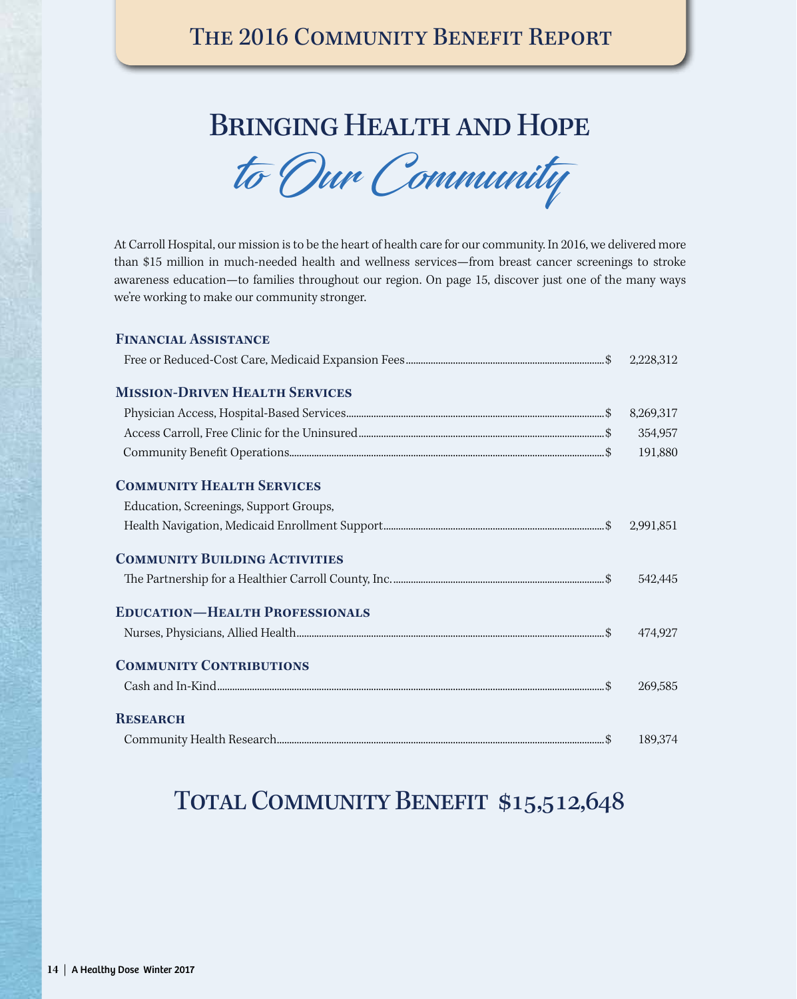## Bringing Health and Hope

to Our Community

At Carroll Hospital, our mission is to be the heart of health care for our community. In 2016, we delivered more than \$15 million in much-needed health and wellness services—from breast cancer screenings to stroke awareness education—to families throughout our region. On page 15, discover just one of the many ways we're working to make our community stronger.

| <b>FINANCIAL ASSISTANCE</b>                                       |           |
|-------------------------------------------------------------------|-----------|
|                                                                   | 2,228,312 |
| <b>MISSION-DRIVEN HEALTH SERVICES</b>                             |           |
| ${\it Physical Access, Hospital-Based Services.}\label{prop:ex1}$ | 8,269,317 |
|                                                                   | 354,957   |
|                                                                   | 191,880   |
| <b>COMMUNITY HEALTH SERVICES</b>                                  |           |
| Education, Screenings, Support Groups,                            |           |
|                                                                   | 2,991,851 |
| <b>COMMUNITY BUILDING ACTIVITIES</b>                              |           |
|                                                                   | 542,445   |
| <b>EDUCATION-HEALTH PROFESSIONALS</b>                             |           |
|                                                                   | 474,927   |
| <b>COMMUNITY CONTRIBUTIONS</b>                                    |           |
|                                                                   | 269,585   |
| <b>RESEARCH</b>                                                   |           |
|                                                                   | 189.374   |

## TOTAL COMMUNITY BENEFIT \$15,512,648